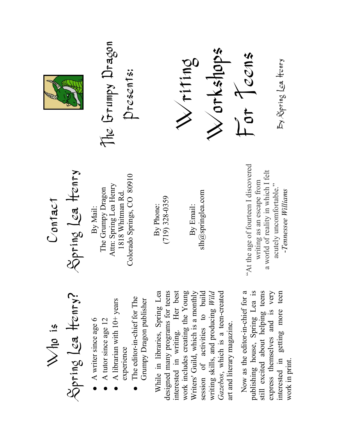The Grumpy Dragon The Grumpy Dragon Workshops For Teens Writing By Spring Lea Henry By Spring Lea HenryPresents:

Spring Lea Henry Spring Lea Henry Contact

Who is

Spring Lea Henry? Spring Lea Henry

• A writer since age  $6$ • A writer since age 6

●

●

 $\bullet$  A librarian with  $10+$  years

A librarian with 10+ years

experience

• The editor-in-chief for The  $\bullet$  The editor-in-chief for The Grumpy Dragon publisher

Grumpy Dragon publisher

A tutor since age  $12$ 

A tutor since age 12

By Mail:

By Phone:<br>(719) 328-0359 (719) 328-0359

> While in libraries, Spring Lea designed many programs for teens interested in writing. Her best

designed many programs for teens interested in writing. Her best

While in libraries, Spring Lea

slh@springlea.com slh $@$ springlea.com By Email:

"At the age of fourteen I discovered "At the age of fourteen I discovered a world of reality in which I felt a world of reality in which I felt writing as an escape from writing as an escape from acutely uncomfortable." acutely uncomfortable." -Tennessee Williams -Tennessee Williams

work includes creating the Young session of activities to build Gazebos, which is a teen-created work includes creating the Young Writers' Guild, which is a monthly Writers' Guild, which is a monthly session of activities to build<br> $\frac{1}{2}$ writing skills, and producing Wild Gazebos, which is a teen-created writing skills, and producing Wild art and literary magazine. art and literary magazine.

Now as the editor-in-chief for a publishing house, Spring Lea is still excited about helping teens<br>express themselves and is very interested in getting more teen Now as the editor-in-chief for a publishing house, Spring Lea is still excited about helping teens express themselves and is very interested in getting more teen work in print. work in print.

Colorado Springs, CO 80910 Colorado Springs, CO 80910 Attn: Spring Lea Henry Attn: Spring Lea Henry The Grumpy Dragon The Grumpy Dragon 1818 Whitman Rd. 1818 Whitman Rd.